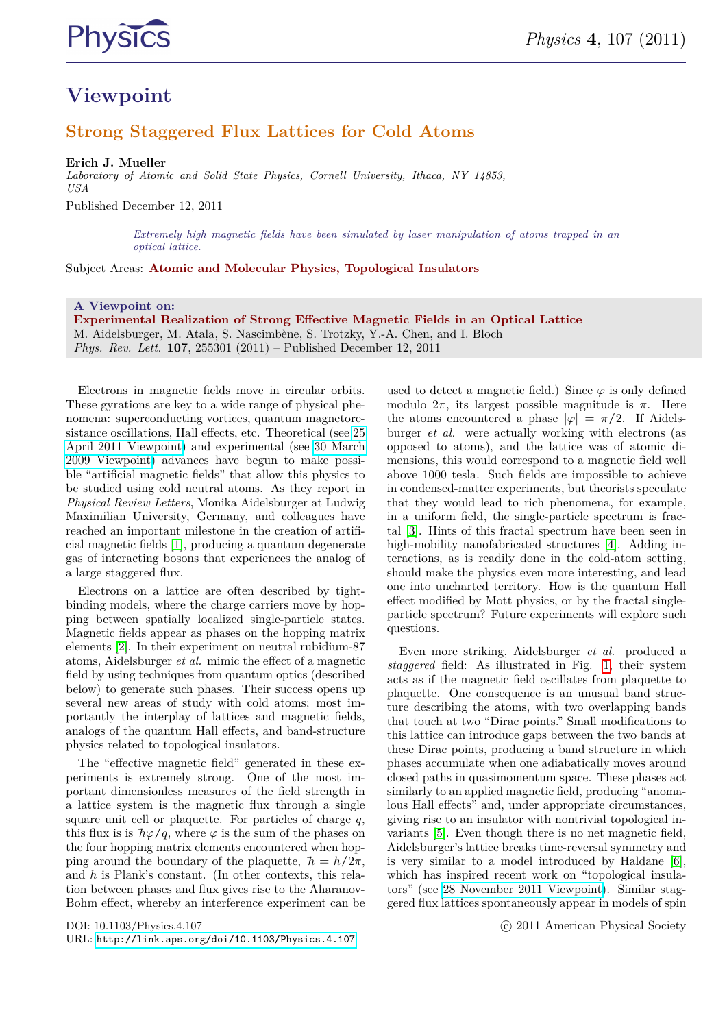

## **Viewpoint**

### **Strong Staggered Flux Lattices for Cold Atoms**

**Erich J. Mueller**

*Laboratory of Atomic and Solid State Physics, Cornell University, Ithaca, NY 14853, USA*

Published December 12, 2011

*Extremely high magnetic fields have been simulated by laser manipulation of atoms trapped in an optical lattice.*

Subject Areas: **Atomic and Molecular Physics, Topological Insulators**

#### **A Viewpoint on:**

**Experimental Realization of Strong Effective Magnetic Fields in an Optical Lattice** M. Aidelsburger, M. Atala, S. Nascimbène, S. Trotzky, Y.-A. Chen, and I. Bloch *Phys. Rev. Lett.* **107**, 255301 (2011) – Published December 12, 2011

Electrons in magnetic fields move in circular orbits. These gyrations are key to a wide range of physical phenomena: superconducting vortices, quantum magnetoresistance oscillations, Hall effects, etc. Theoretical (see [25](http://physics.aps.org/articles/v4/35) [April 2011 Viewpoint\)](http://physics.aps.org/articles/v4/35) and experimental (see [30 March](http://physics.aps.org/articles/v2/25) [2009 Viewpoint\)](http://physics.aps.org/articles/v2/25) advances have begun to make possible "artificial magnetic fields" that allow this physics to be studied using cold neutral atoms. As they report in *Physical Review Letters*, Monika Aidelsburger at Ludwig Maximilian University, Germany, and colleagues have reached an important milestone in the creation of artificial magnetic fields [\[1\]](#page-1-0), producing a quantum degenerate gas of interacting bosons that experiences the analog of a large staggered flux.

Electrons on a lattice are often described by tightbinding models, where the charge carriers move by hopping between spatially localized single-particle states. Magnetic fields appear as phases on the hopping matrix elements [\[2\]](#page-1-1). In their experiment on neutral rubidium-87 atoms, Aidelsburger *et al.* mimic the effect of a magnetic field by using techniques from quantum optics (described below) to generate such phases. Their success opens up several new areas of study with cold atoms; most importantly the interplay of lattices and magnetic fields, analogs of the quantum Hall effects, and band-structure physics related to topological insulators.

The "effective magnetic field" generated in these experiments is extremely strong. One of the most important dimensionless measures of the field strength in a lattice system is the magnetic flux through a single square unit cell or plaquette. For particles of charge *q*, this flux is is  $\hbar\varphi/q$ , where  $\varphi$  is the sum of the phases on the four hopping matrix elements encountered when hopping around the boundary of the plaquette,  $\hbar = h/2\pi$ , and *h* is Plank's constant. (In other contexts, this relation between phases and flux gives rise to the Aharanov-Bohm effect, whereby an interference experiment can be

DOI: 10.1103/Physics.4.107 URL: <http://link.aps.org/doi/10.1103/Physics.4.107> used to detect a magnetic field.) Since  $\varphi$  is only defined modulo  $2\pi$ , its largest possible magnitude is  $\pi$ . Here the atoms encountered a phase  $|\varphi| = \pi/2$ . If Aidelsburger *et al.* were actually working with electrons (as opposed to atoms), and the lattice was of atomic dimensions, this would correspond to a magnetic field well above 1000 tesla. Such fields are impossible to achieve in condensed-matter experiments, but theorists speculate that they would lead to rich phenomena, for example, in a uniform field, the single-particle spectrum is fractal [\[3\]](#page-1-2). Hints of this fractal spectrum have been seen in high-mobility nanofabricated structures [\[4\]](#page-1-3). Adding interactions, as is readily done in the cold-atom setting, should make the physics even more interesting, and lead one into uncharted territory. How is the quantum Hall effect modified by Mott physics, or by the fractal singleparticle spectrum? Future experiments will explore such questions.

Even more striking, Aidelsburger *et al.* produced a *staggered* field: As illustrated in Fig. [1,](#page-1-4) their system acts as if the magnetic field oscillates from plaquette to plaquette. One consequence is an unusual band structure describing the atoms, with two overlapping bands that touch at two "Dirac points." Small modifications to this lattice can introduce gaps between the two bands at these Dirac points, producing a band structure in which phases accumulate when one adiabatically moves around closed paths in quasimomentum space. These phases act similarly to an applied magnetic field, producing "anomalous Hall effects" and, under appropriate circumstances, giving rise to an insulator with nontrivial topological invariants [\[5\]](#page-1-5). Even though there is no net magnetic field, Aidelsburger's lattice breaks time-reversal symmetry and is very similar to a model introduced by Haldane [\[6\]](#page-1-6), which has inspired recent work on "topological insulators" (see [28 November 2011 Viewpoint\)](http://physics.aps.org/articles/v4/99). Similar staggered flux lattices spontaneously appear in models of spin

c 2011 American Physical Society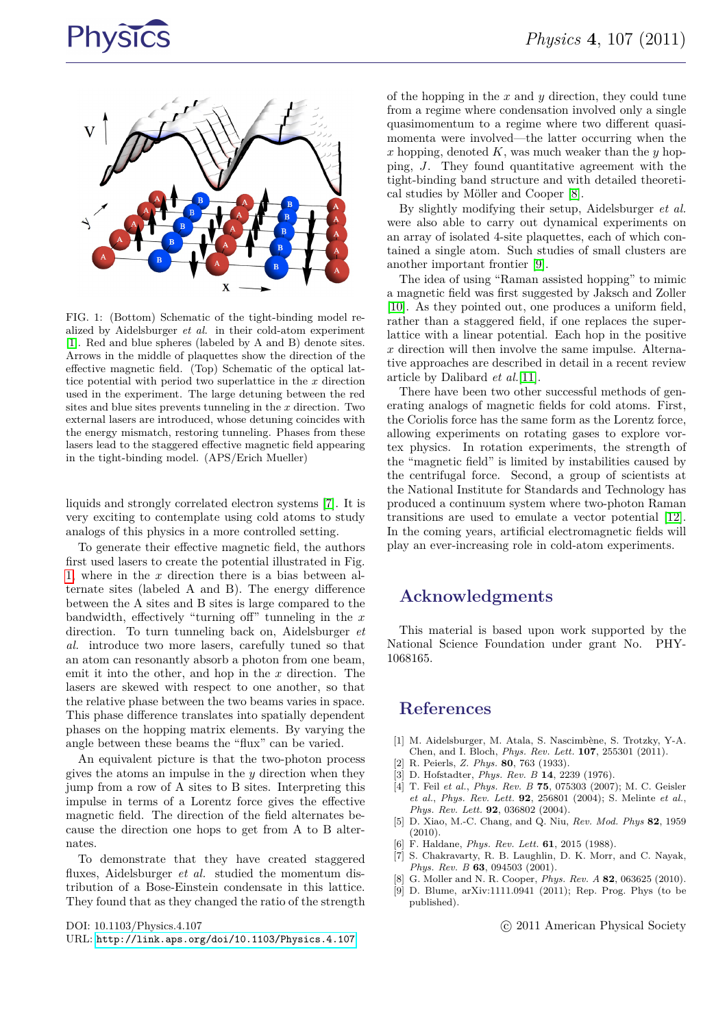# **Physics**



<span id="page-1-4"></span>FIG. 1: (Bottom) Schematic of the tight-binding model realized by Aidelsburger *et al.* in their cold-atom experiment [\[1\]](#page-1-0). Red and blue spheres (labeled by A and B) denote sites. Arrows in the middle of plaquettes show the direction of the effective magnetic field. (Top) Schematic of the optical lattice potential with period two superlattice in the *x* direction used in the experiment. The large detuning between the red sites and blue sites prevents tunneling in the *x* direction. Two external lasers are introduced, whose detuning coincides with the energy mismatch, restoring tunneling. Phases from these lasers lead to the staggered effective magnetic field appearing in the tight-binding model. (APS/Erich Mueller)

liquids and strongly correlated electron systems [\[7\]](#page-1-7). It is very exciting to contemplate using cold atoms to study analogs of this physics in a more controlled setting.

To generate their effective magnetic field, the authors first used lasers to create the potential illustrated in Fig. [1,](#page-1-4) where in the *x* direction there is a bias between alternate sites (labeled A and B). The energy difference between the A sites and B sites is large compared to the bandwidth, effectively "turning off" tunneling in the *x* direction. To turn tunneling back on, Aidelsburger *et al.* introduce two more lasers, carefully tuned so that an atom can resonantly absorb a photon from one beam, emit it into the other, and hop in the *x* direction. The lasers are skewed with respect to one another, so that the relative phase between the two beams varies in space. This phase difference translates into spatially dependent phases on the hopping matrix elements. By varying the angle between these beams the "flux" can be varied.

An equivalent picture is that the two-photon process gives the atoms an impulse in the *y* direction when they jump from a row of A sites to B sites. Interpreting this impulse in terms of a Lorentz force gives the effective magnetic field. The direction of the field alternates because the direction one hops to get from A to B alternates.

To demonstrate that they have created staggered fluxes, Aidelsburger *et al.* studied the momentum distribution of a Bose-Einstein condensate in this lattice. They found that as they changed the ratio of the strength

DOI: 10.1103/Physics.4.107

URL: <http://link.aps.org/doi/10.1103/Physics.4.107>

of the hopping in the *x* and *y* direction, they could tune from a regime where condensation involved only a single quasimomentum to a regime where two different quasimomenta were involved—the latter occurring when the *x* hopping, denoted *K*, was much weaker than the *y* hopping, *J*. They found quantitative agreement with the tight-binding band structure and with detailed theoretical studies by Möller and Cooper [\[8\]](#page-1-8).

By slightly modifying their setup, Aidelsburger *et al.* were also able to carry out dynamical experiments on an array of isolated 4-site plaquettes, each of which contained a single atom. Such studies of small clusters are another important frontier [\[9\]](#page-1-9).

The idea of using "Raman assisted hopping" to mimic a magnetic field was first suggested by Jaksch and Zoller [\[10\]](#page-2-0). As they pointed out, one produces a uniform field, rather than a staggered field, if one replaces the superlattice with a linear potential. Each hop in the positive *x* direction will then involve the same impulse. Alternative approaches are described in detail in a recent review article by Dalibard *et al.*[\[11\]](#page-2-1).

There have been two other successful methods of generating analogs of magnetic fields for cold atoms. First, the Coriolis force has the same form as the Lorentz force, allowing experiments on rotating gases to explore vortex physics. In rotation experiments, the strength of the "magnetic field" is limited by instabilities caused by the centrifugal force. Second, a group of scientists at the National Institute for Standards and Technology has produced a continuum system where two-photon Raman transitions are used to emulate a vector potential [\[12\]](#page-2-2). In the coming years, artificial electromagnetic fields will play an ever-increasing role in cold-atom experiments.

#### **Acknowledgments**

This material is based upon work supported by the National Science Foundation under grant No. PHY-1068165.

### **References**

- <span id="page-1-0"></span>[1] M. Aidelsburger, M. Atala, S. Nascimbène, S. Trotzky, Y-A. Chen, and I. Bloch, *Phys. Rev. Lett.* **107**, 255301 (2011).
- <span id="page-1-1"></span>[2] R. Peierls, *Z. Phys.* **80**, 763 (1933).
- <span id="page-1-2"></span>[3] D. Hofstadter, *Phys. Rev. B* **14**, 2239 (1976).
- <span id="page-1-3"></span>[4] T. Feil *et al.*, *Phys. Rev. B* **75**, 075303 (2007); M. C. Geisler *et al.*, *Phys. Rev. Lett.* **92**, 256801 (2004); S. Melinte *et al.*, *Phys. Rev. Lett.* **92**, 036802 (2004).
- <span id="page-1-5"></span>[5] D. Xiao, M.-C. Chang, and Q. Niu, *Rev. Mod. Phys* **82**, 1959  $(2010)$ .
- <span id="page-1-6"></span>[6] F. Haldane, *Phys. Rev. Lett.* **61**, 2015 (1988).
- <span id="page-1-7"></span>[7] S. Chakravarty, R. B. Laughlin, D. K. Morr, and C. Nayak, *Phys. Rev. B* **63**, 094503 (2001).
- <span id="page-1-8"></span>[8] G. Moller and N. R. Cooper, *Phys. Rev. A* **82**, 063625 (2010).
- <span id="page-1-9"></span>[9] D. Blume, arXiv:1111.0941 (2011); Rep. Prog. Phys (to be published).

c 2011 American Physical Society